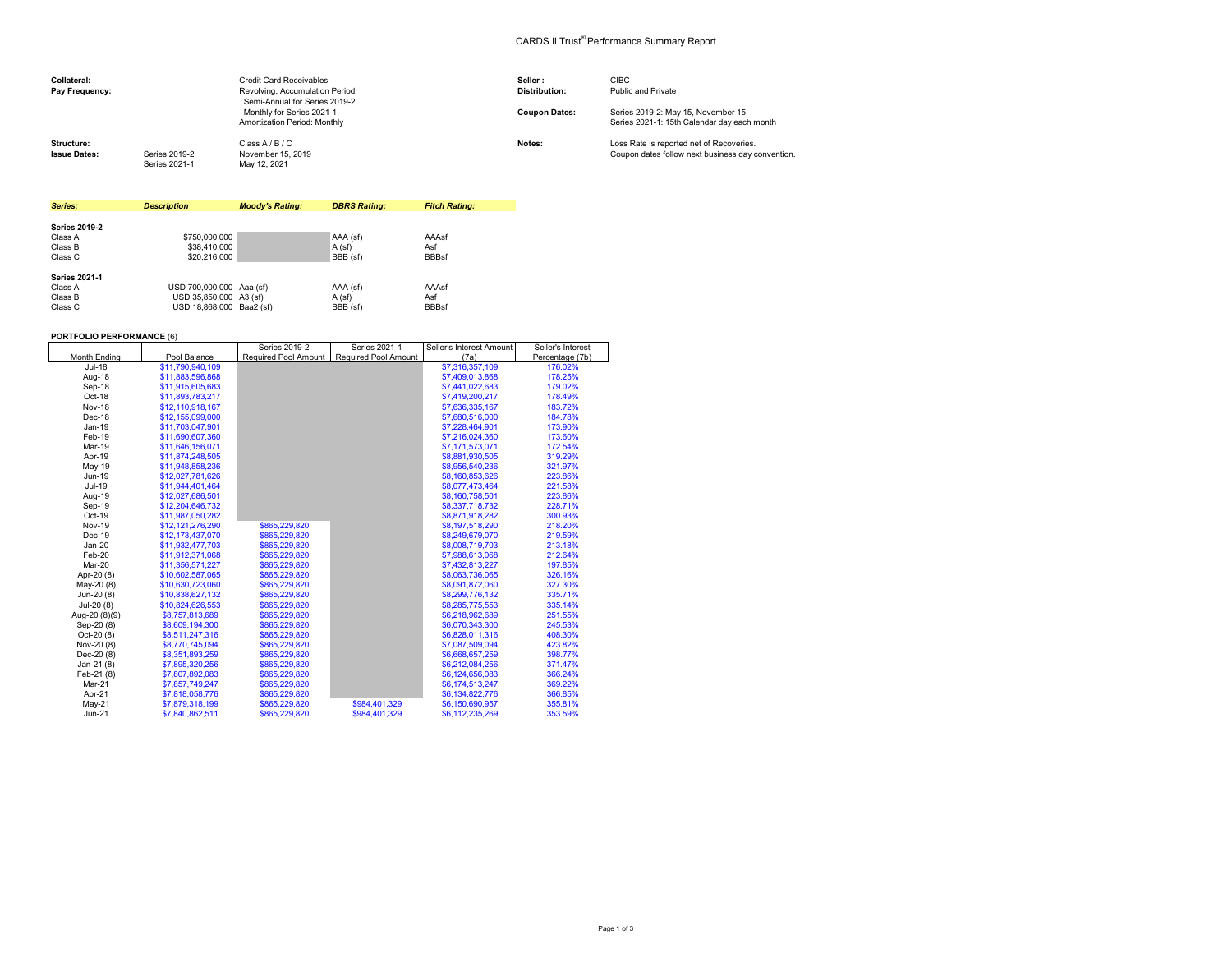## CARDS II Trust® Performance Summary Report

| Collateral:<br>Pay Frequency:     |                                | <b>Credit Card Receivables</b><br>Revolving, Accumulation Period:<br>Semi-Annual for Series 2019-2 | Seller:<br><b>Distribution:</b> | <b>CIBC</b><br>Public and Private                                                             |
|-----------------------------------|--------------------------------|----------------------------------------------------------------------------------------------------|---------------------------------|-----------------------------------------------------------------------------------------------|
|                                   |                                | Monthly for Series 2021-1<br>Amortization Period: Monthly                                          | <b>Coupon Dates:</b>            | Series 2019-2: May 15, November 15<br>Series 2021-1: 15th Calendar day each month             |
| Structure:<br><b>Issue Dates:</b> | Series 2019-2<br>Series 2021-1 | Class A / B / C<br>November 15, 2019<br>May 12, 2021                                               | Notes:                          | Loss Rate is reported net of Recoveries.<br>Coupon dates follow next business day convention. |

| Series:              | <b>Description</b>       | <b>Moody's Rating:</b> | <b>DBRS Rating:</b> | <b>Fitch Rating:</b> |
|----------------------|--------------------------|------------------------|---------------------|----------------------|
|                      |                          |                        |                     |                      |
| <b>Series 2019-2</b> |                          |                        |                     |                      |
| Class A              | \$750,000,000            |                        | AAA (sf)            | AAAsf                |
| Class B              | \$38,410,000             |                        | A (sf)              | Asf                  |
| Class C              | \$20,216,000             |                        | BBB (sf)            | <b>BBBsf</b>         |
| <b>Series 2021-1</b> |                          |                        |                     |                      |
| Class A              | USD 700,000,000 Aaa (sf) |                        | AAA (sf)            | AAAsf                |
| Class B              | USD 35.850.000 A3 (sf)   |                        | A (sf)              | Asf                  |
| Class C              | USD 18.868.000 Baa2 (sf) |                        | BBB (sf)            | <b>BBBsf</b>         |

## **PORTFOLIO PERFORMANCE** (6)

|               |                  | Series 2019-2        | Series 2021-1        | Seller's Interest Amount | Seller's Interest |
|---------------|------------------|----------------------|----------------------|--------------------------|-------------------|
| Month Ending  | Pool Balance     | Required Pool Amount | Required Pool Amount | (7a)                     | Percentage (7b)   |
| Jul-18        | \$11,790,940,109 |                      |                      | \$7,316,357,109          | 176.02%           |
| Aug-18        | \$11,883,596,868 |                      |                      | \$7,409,013,868          | 178.25%           |
| Sep-18        | \$11.915.605.683 |                      |                      | \$7,441,022,683          | 179.02%           |
| Oct-18        | \$11,893,783,217 |                      |                      | \$7,419,200,217          | 178.49%           |
| Nov-18        | \$12,110,918,167 |                      |                      | \$7,636,335,167          | 183.72%           |
| Dec-18        | \$12,155,099,000 |                      |                      | \$7,680,516,000          | 184.78%           |
| Jan-19        | \$11,703,047,901 |                      |                      | \$7,228,464,901          | 173.90%           |
| Feb-19        | \$11,690,607,360 |                      |                      | \$7,216,024,360          | 173.60%           |
| Mar-19        | \$11,646,156,071 |                      |                      | \$7,171,573,071          | 172.54%           |
| Apr-19        | \$11,874,248,505 |                      |                      | \$8,881,930,505          | 319.29%           |
| May-19        | \$11,948,858,236 |                      |                      | \$8,956,540,236          | 321.97%           |
| Jun-19        | \$12,027,781,626 |                      |                      | \$8,160,853,626          | 223.86%           |
| Jul-19        | \$11,944,401,464 |                      |                      | \$8,077,473,464          | 221.58%           |
| Aug-19        | \$12,027,686,501 |                      |                      | \$8,160,758,501          | 223.86%           |
| Sep-19        | \$12,204,646,732 |                      |                      | \$8,337,718,732          | 228.71%           |
| Oct-19        | \$11,987,050,282 |                      |                      | \$8,871,918,282          | 300.93%           |
| <b>Nov-19</b> | \$12,121,276,290 | \$865,229,820        |                      | \$8,197,518,290          | 218.20%           |
| Dec-19        | \$12,173,437,070 | \$865,229,820        |                      | \$8,249,679,070          | 219.59%           |
| $Jan-20$      | \$11,932,477,703 | \$865,229,820        |                      | \$8,008,719,703          | 213.18%           |
| Feb-20        | \$11.912.371.068 | \$865,229,820        |                      | \$7,988,613,068          | 212.64%           |
| Mar-20        | \$11,356,571,227 | \$865,229,820        |                      | \$7,432,813,227          | 197.85%           |
| Apr-20 (8)    | \$10,602,587,065 | \$865,229,820        |                      | \$8,063,736,065          | 326.16%           |
| May-20 (8)    | \$10.630.723.060 | \$865,229,820        |                      | \$8,091,872,060          | 327.30%           |
| Jun-20 (8)    | \$10,838,627,132 | \$865,229,820        |                      | \$8,299,776,132          | 335.71%           |
| Jul-20 (8)    | \$10.824.626.553 | \$865,229,820        |                      | \$8,285,775,553          | 335.14%           |
| Aug-20 (8)(9) | \$8,757,813,689  | \$865,229,820        |                      | \$6,218,962,689          | 251.55%           |
| Sep-20 (8)    | \$8,609,194,300  | \$865,229,820        |                      | \$6,070,343,300          | 245.53%           |
| Oct-20 (8)    | \$8,511,247,316  | \$865,229,820        |                      | \$6,828,011.316          | 408.30%           |
| Nov-20 (8)    | \$8,770,745,094  | \$865,229,820        |                      | \$7,087,509,094          | 423.82%           |
| Dec-20 (8)    | \$8,351,893,259  | \$865,229,820        |                      | \$6,668,657,259          | 398.77%           |
| Jan-21 (8)    | \$7,895,320,256  | \$865,229,820        |                      | \$6,212,084,256          | 371.47%           |
| Feb-21 (8)    | \$7,807,892,083  | \$865,229,820        |                      | \$6,124,656,083          | 366.24%           |
| Mar-21        | \$7,857,749,247  | \$865,229,820        |                      | \$6,174,513,247          | 369.22%           |
| Apr-21        | \$7,818,058,776  | \$865,229,820        |                      | \$6,134,822,776          | 366.85%           |
| $May-21$      | \$7,879,318,199  | \$865,229,820        | \$984,401,329        | \$6,150,690,957          | 355.81%           |
| Jun-21        | \$7,840,862.511  | \$865,229,820        | \$984,401,329        | \$6,112,235,269          | 353.59%           |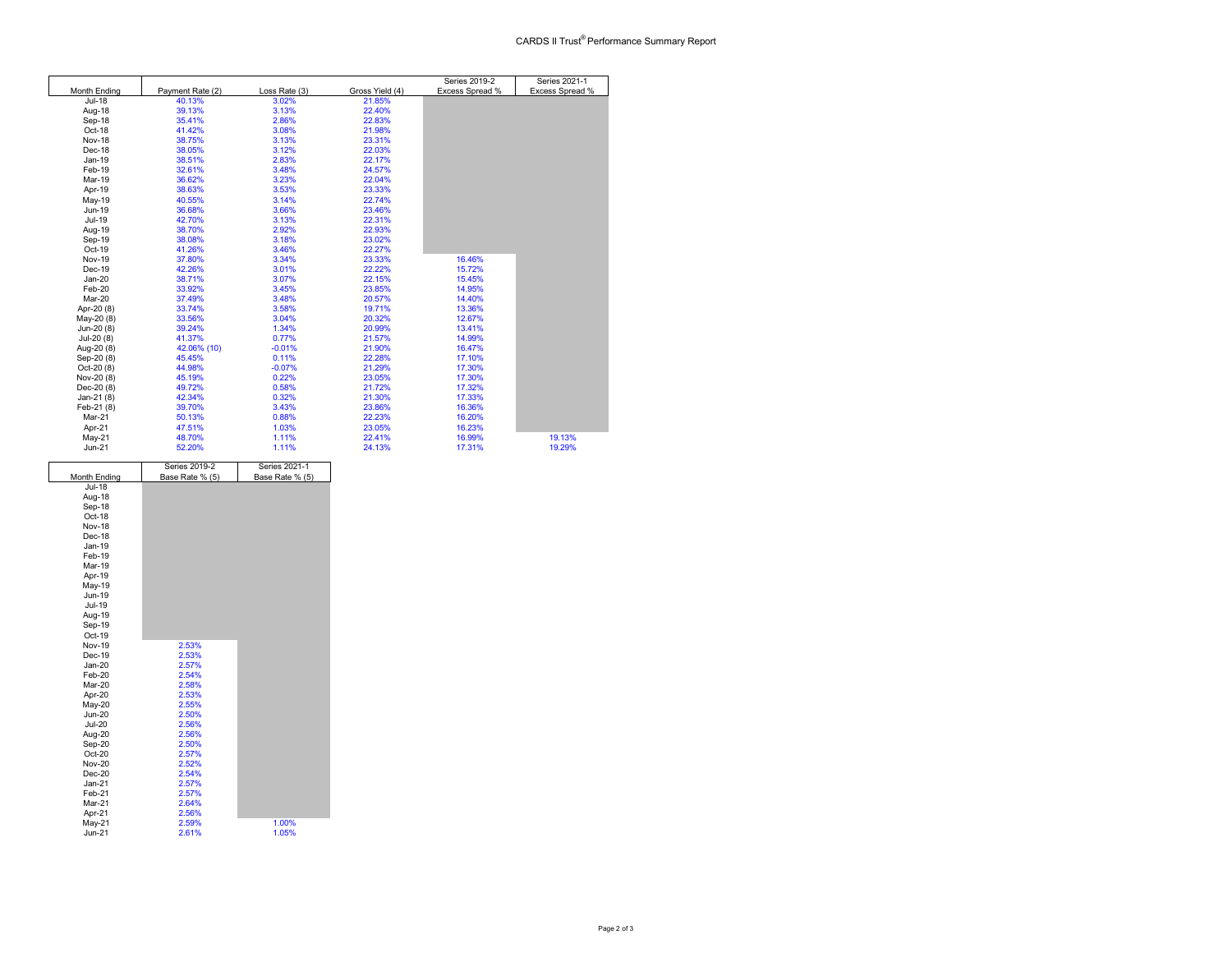|               |                  |               |                 | Series 2019-2   | Series 2021-1   |
|---------------|------------------|---------------|-----------------|-----------------|-----------------|
| Month Ending  | Payment Rate (2) | Loss Rate (3) | Gross Yield (4) | Excess Spread % | Excess Spread % |
| Jul-18        | 40.13%           | 3.02%         | 21.85%          |                 |                 |
| Aug-18        | 39.13%           | 3.13%         | 22.40%          |                 |                 |
| Sep-18        | 35.41%           | 2.86%         | 22.83%          |                 |                 |
| Oct-18        | 41.42%           | 3.08%         | 21.98%          |                 |                 |
| Nov-18        | 38.75%           | 3.13%         | 23.31%          |                 |                 |
| Dec-18        | 38.05%           | 3.12%         | 22.03%          |                 |                 |
| Jan-19        | 38.51%           | 2.83%         | 22.17%          |                 |                 |
| Feb-19        | 32.61%           | 3.48%         | 24.57%          |                 |                 |
| Mar-19        | 36.62%           | 3.23%         | 22.04%          |                 |                 |
| Apr-19        | 38.63%           | 3.53%         | 23.33%          |                 |                 |
| May-19        | 40.55%           | 3.14%         | 22.74%          |                 |                 |
| Jun-19        | 36.68%           | 3.66%         | 23.46%          |                 |                 |
| Jul-19        | 42.70%           | 3.13%         | 22.31%          |                 |                 |
| Aug-19        | 38.70%           | 2.92%         | 22.93%          |                 |                 |
| Sep-19        | 38.08%           | 3.18%         | 23.02%          |                 |                 |
| Oct-19        | 41.26%           | 3.46%         | 22.27%          |                 |                 |
| <b>Nov-19</b> | 37.80%           | 3.34%         | 23.33%          | 16.46%          |                 |
| Dec-19        | 42.26%           | 3.01%         | 22.22%          | 15.72%          |                 |
| $Jan-20$      | 38.71%           | 3.07%         | 22.15%          | 15.45%          |                 |
| Feb-20        | 33.92%           | 3.45%         | 23.85%          | 14.95%          |                 |
| Mar-20        | 37.49%           | 3.48%         | 20.57%          | 14.40%          |                 |
| Apr-20 (8)    | 33.74%           | 3.58%         | 19.71%          | 13.36%          |                 |
| May-20 (8)    | 33.56%           | 3.04%         | 20.32%          | 12.67%          |                 |
| Jun-20 (8)    | 39.24%           | 1.34%         | 20.99%          | 13.41%          |                 |
| Jul-20 (8)    | 41.37%           | 0.77%         | 21.57%          | 14.99%          |                 |
| Aug-20 (8)    | 42.06% (10)      | $-0.01%$      | 21.90%          | 16.47%          |                 |
| Sep-20 (8)    | 45.45%           | 0.11%         | 22.28%          | 17.10%          |                 |
| Oct-20 (8)    | 44.98%           | $-0.07%$      | 21.29%          | 17.30%          |                 |
| Nov-20 (8)    | 45.19%           | 0.22%         | 23.05%          | 17.30%          |                 |
| Dec-20 (8)    | 49.72%           | 0.58%         | 21.72%          | 17.32%          |                 |
| Jan-21 (8)    | 42.34%           | 0.32%         | 21.30%          | 17.33%          |                 |
| Feb-21 (8)    | 39.70%           | 3.43%         | 23.86%          | 16.36%          |                 |
| Mar-21        | 50.13%           | 0.88%         | 22.23%          | 16.20%          |                 |
| Apr-21        | 47.51%           | 1.03%         | 23.05%          | 16.23%          |                 |
| $May-21$      | 48.70%           | 1.11%         | 22.41%          | 16.99%          | 19.13%          |
| Jun-21        | 52.20%           | 1.11%         | 24.13%          | 17.31%          | 19.29%          |

|                                | Series 2019-2   | Series 2021-1   |
|--------------------------------|-----------------|-----------------|
| Month Ending                   | Base Rate % (5) | Base Rate % (5) |
| Jul-18                         |                 |                 |
| Aug-18                         |                 |                 |
| Sep-18                         |                 |                 |
| Oct-18                         |                 |                 |
| <b>Nov-18</b>                  |                 |                 |
| Dec-18                         |                 |                 |
| Jan-19                         |                 |                 |
| Feb-19                         |                 |                 |
| Mar-19                         |                 |                 |
| Apr-19                         |                 |                 |
| May-19                         |                 |                 |
| Jun-19                         |                 |                 |
| Jul-19                         |                 |                 |
| Aug-19                         |                 |                 |
| Sep-19                         |                 |                 |
| Oct-19                         |                 |                 |
| <b>Nov-19</b>                  | 2.53%           |                 |
| Dec-19                         | 2.53%           |                 |
| $Jan-20$                       | 2.57%           |                 |
| Feb-20                         | 2.54%           |                 |
| Mar-20                         | 2.58%           |                 |
| Apr-20                         | 2.53%           |                 |
| May-20                         | 2.55%<br>2.50%  |                 |
| <b>Jun-20</b><br><b>Jul-20</b> | 2.56%           |                 |
| Aug-20                         | 2.56%           |                 |
| Sep-20                         | 2.50%           |                 |
| Oct-20                         | 2.57%           |                 |
| <b>Nov-20</b>                  | 2.52%           |                 |
| $Dec-20$                       | 2.54%           |                 |
| $Jan-21$                       | 2.57%           |                 |
| Feb-21                         | 2.57%           |                 |
| Mar-21                         | 2.64%           |                 |
| Apr-21                         | 2.56%           |                 |
| May-21                         | 2.59%           | 1.00%           |
| $Jun-21$                       | 2.61%           | 1.05%           |
|                                |                 |                 |